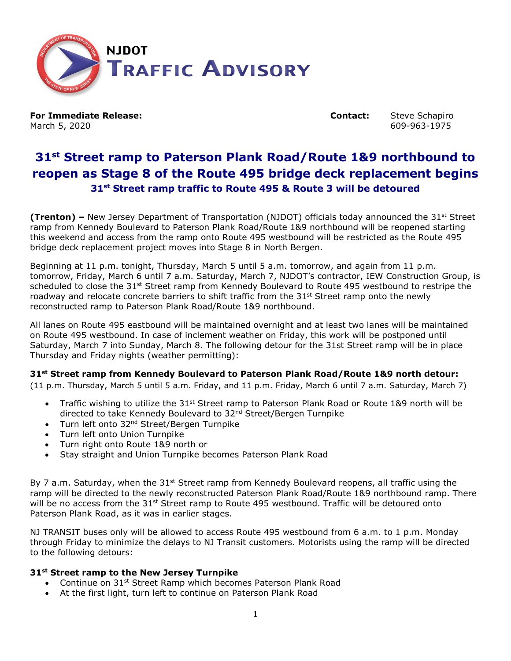

**For Immediate Release: Contact:** Steve Schapiro March 5, 2020 609-963-1975

# **31st Street ramp to Paterson Plank Road/Route 1&9 northbound to reopen as Stage 8 of the Route 495 bridge deck replacement begins 31st Street ramp traffic to Route 495 & Route 3 will be detoured**

**(Trenton)** – New Jersey Department of Transportation (NJDOT) officials today announced the 31<sup>st</sup> Street ramp from Kennedy Boulevard to Paterson Plank Road/Route 1&9 northbound will be reopened starting this weekend and access from the ramp onto Route 495 westbound will be restricted as the Route 495 bridge deck replacement project moves into Stage 8 in North Bergen.

Beginning at 11 p.m. tonight, Thursday, March 5 until 5 a.m. tomorrow, and again from 11 p.m. tomorrow, Friday, March 6 until 7 a.m. Saturday, March 7, NJDOT's contractor, IEW Construction Group, is scheduled to close the 31<sup>st</sup> Street ramp from Kennedy Boulevard to Route 495 westbound to restripe the roadway and relocate concrete barriers to shift traffic from the  $31<sup>st</sup>$  Street ramp onto the newly reconstructed ramp to Paterson Plank Road/Route 1&9 northbound.

All lanes on Route 495 eastbound will be maintained overnight and at least two lanes will be maintained on Route 495 westbound. In case of inclement weather on Friday, this work will be postponed until Saturday, March 7 into Sunday, March 8. The following detour for the 31st Street ramp will be in place Thursday and Friday nights (weather permitting):

## **31st Street ramp from Kennedy Boulevard to Paterson Plank Road/Route 1&9 north detour:**

(11 p.m. Thursday, March 5 until 5 a.m. Friday, and 11 p.m. Friday, March 6 until 7 a.m. Saturday, March 7)

- Traffic wishing to utilize the  $31<sup>st</sup>$  Street ramp to Paterson Plank Road or Route 1&9 north will be directed to take Kennedy Boulevard to 32nd Street/Bergen Turnpike
- Turn left onto 32<sup>nd</sup> Street/Bergen Turnpike
- Turn left onto Union Turnpike
- Turn right onto Route 1&9 north or
- Stay straight and Union Turnpike becomes Paterson Plank Road

By 7 a.m. Saturday, when the  $31<sup>st</sup>$  Street ramp from Kennedy Boulevard reopens, all traffic using the ramp will be directed to the newly reconstructed Paterson Plank Road/Route 1&9 northbound ramp. There will be no access from the 31<sup>st</sup> Street ramp to Route 495 westbound. Traffic will be detoured onto Paterson Plank Road, as it was in earlier stages.

NJ TRANSIT buses only will be allowed to access Route 495 westbound from 6 a.m. to 1 p.m. Monday through Friday to minimize the delays to NJ Transit customers. Motorists using the ramp will be directed to the following detours:

#### **31st Street ramp to the New Jersey Turnpike**

- Continue on 31<sup>st</sup> Street Ramp which becomes Paterson Plank Road
- At the first light, turn left to continue on Paterson Plank Road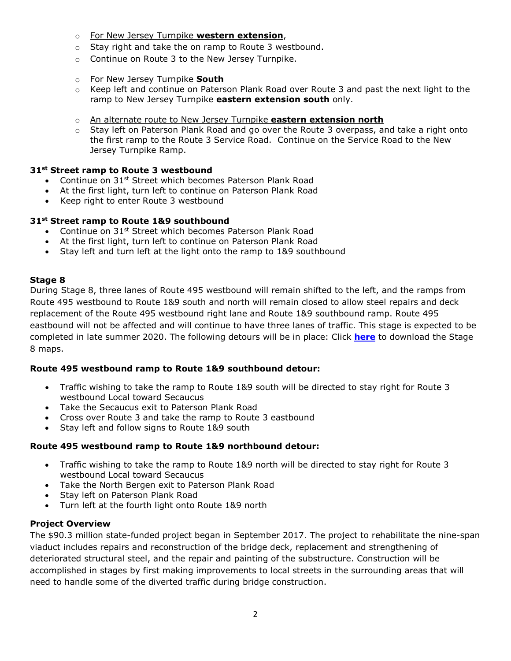- o For New Jersey Turnpike **western extension**,
- o Stay right and take the on ramp to Route 3 westbound.
- o Continue on Route 3 to the New Jersey Turnpike.
- o For New Jersey Turnpike **South**
- o Keep left and continue on Paterson Plank Road over Route 3 and past the next light to the ramp to New Jersey Turnpike **eastern extension south** only.
- o An alternate route to New Jersey Turnpike **eastern extension north**
- $\circ$  Stay left on Paterson Plank Road and go over the Route 3 overpass, and take a right onto the first ramp to the Route 3 Service Road. Continue on the Service Road to the New Jersey Turnpike Ramp.

## **31st Street ramp to Route 3 westbound**

- Continue on 31<sup>st</sup> Street which becomes Paterson Plank Road
- At the first light, turn left to continue on Paterson Plank Road
- Keep right to enter Route 3 westbound

## **31st Street ramp to Route 1&9 southbound**

- Continue on 31<sup>st</sup> Street which becomes Paterson Plank Road
- At the first light, turn left to continue on Paterson Plank Road
- Stay left and turn left at the light onto the ramp to 1&9 southbound

### **Stage 8**

During Stage 8, three lanes of Route 495 westbound will remain shifted to the left, and the ramps from Route 495 westbound to Route 1&9 south and north will remain closed to allow steel repairs and deck replacement of the Route 495 westbound right lane and Route 1&9 southbound ramp. Route 495 eastbound will not be affected and will continue to have three lanes of traffic. This stage is expected to be completed in late summer 2020. The following detours will be in place: Click **[here](https://www.state.nj.us/transportation/commuter/roads/rt495/detours.shtm)** to download the Stage 8 maps.

## **Route 495 westbound ramp to Route 1&9 southbound detour:**

- Traffic wishing to take the ramp to Route 1&9 south will be directed to stay right for Route 3 westbound Local toward Secaucus
- Take the Secaucus exit to Paterson Plank Road
- Cross over Route 3 and take the ramp to Route 3 eastbound
- Stay left and follow signs to Route 1&9 south

## **Route 495 westbound ramp to Route 1&9 northbound detour:**

- Traffic wishing to take the ramp to Route 1&9 north will be directed to stay right for Route 3 westbound Local toward Secaucus
- Take the North Bergen exit to Paterson Plank Road
- Stay left on Paterson Plank Road
- Turn left at the fourth light onto Route 1&9 north

## **Project Overview**

The \$90.3 million state-funded project began in September 2017. The project to rehabilitate the nine-span viaduct includes repairs and reconstruction of the bridge deck, replacement and strengthening of deteriorated structural steel, and the repair and painting of the substructure. Construction will be accomplished in stages by first making improvements to local streets in the surrounding areas that will need to handle some of the diverted traffic during bridge construction.